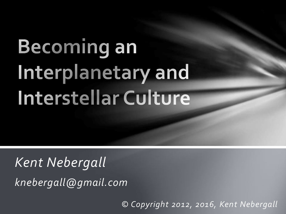# **Becoming an** Interplanetary and Interstellar Culture

*Kent Nebergall knebergall@gmail.com*

*© Copyright 2012, 2016, Kent Nebergall*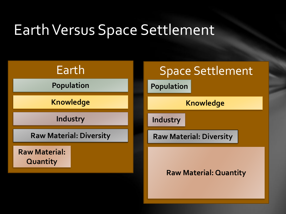#### Earth Versus Space Settlement



**Population**

**Knowledge**

**Industry**

**Raw Material: Diversity**

**Raw Material: Quantity**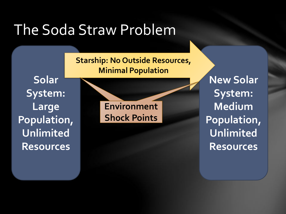#### The Soda Straw Problem

**Starship: No Outside Resources, Minimal Population**

**Solar System: Large Population, Unlimited Resources**

**Chaos Points Environment Shock Points**

**New Solar System: Medium Population, Unlimited Resources**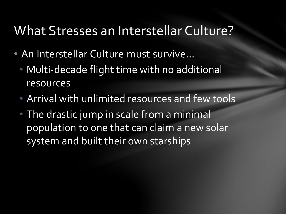#### What Stresses an Interstellar Culture?

- An Interstellar Culture must survive…
	- Multi-decade flight time with no additional resources
	- Arrival with unlimited resources and few tools
	- The drastic jump in scale from a minimal population to one that can claim a new solar system and built their own starships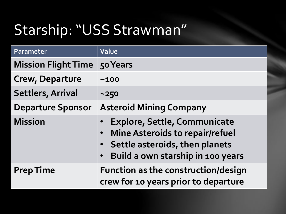#### Starship: "USS Strawman"

| Parameter                  | Value                                                                                                                                                                            |
|----------------------------|----------------------------------------------------------------------------------------------------------------------------------------------------------------------------------|
| <b>Mission Flight Time</b> | 50 Years                                                                                                                                                                         |
| <b>Crew, Departure</b>     | ~100                                                                                                                                                                             |
| <b>Settlers, Arrival</b>   | $~1 - 250$                                                                                                                                                                       |
| <b>Departure Sponsor</b>   | <b>Asteroid Mining Company</b>                                                                                                                                                   |
| <b>Mission</b>             | <b>Explore, Settle, Communicate</b><br><b>Mine Asteroids to repair/refuel</b><br>$\bullet$<br>• Settle asteroids, then planets<br>Build a own starship in 100 years<br>$\bullet$ |
| <b>Prep Time</b>           | <b>Function as the construction/design</b><br>crew for 10 years prior to departure                                                                                               |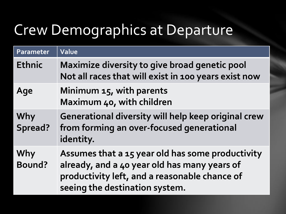#### Crew Demographics at Departure

| Parameter      | Value                                                                                                                                                                               |
|----------------|-------------------------------------------------------------------------------------------------------------------------------------------------------------------------------------|
| <b>Ethnic</b>  | Maximize diversity to give broad genetic pool<br>Not all races that will exist in 100 years exist now                                                                               |
| Age            | Minimum 15, with parents<br>Maximum 40, with children                                                                                                                               |
| Why<br>Spread? | Generational diversity will help keep original crew<br>from forming an over-focused generational<br>identity.                                                                       |
| Why<br>Bound?  | Assumes that a 15 year old has some productivity<br>already, and a 40 year old has many years of<br>productivity left, and a reasonable chance of<br>seeing the destination system. |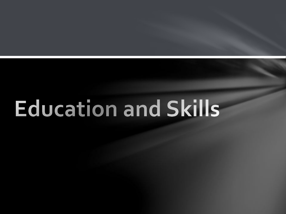# **Education and Skills**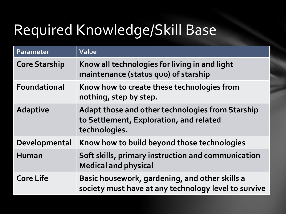## Required Knowledge/Skill Base

| Parameter            | Value                                                                                                        |
|----------------------|--------------------------------------------------------------------------------------------------------------|
| <b>Core Starship</b> | Know all technologies for living in and light<br>maintenance (status quo) of starship                        |
| <b>Foundational</b>  | Know how to create these technologies from<br>nothing, step by step.                                         |
| <b>Adaptive</b>      | Adapt those and other technologies from Starship<br>to Settlement, Exploration, and related<br>technologies. |
| Developmental        | Know how to build beyond those technologies                                                                  |
| <b>Human</b>         | Soft skills, primary instruction and communication<br><b>Medical and physical</b>                            |
| <b>Core Life</b>     | Basic housework, gardening, and other skills a<br>society must have at any technology level to survive       |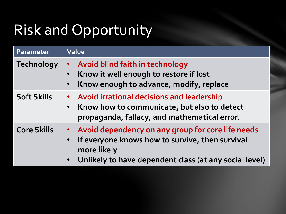## Risk and Opportunity

| Parameter          | Value                                                                                                                                                                                                                |
|--------------------|----------------------------------------------------------------------------------------------------------------------------------------------------------------------------------------------------------------------|
| <b>Technology</b>  | • Avoid blind faith in technology<br>Know it well enough to restore if lost<br>$\bullet$<br>Know enough to advance, modify, replace<br>$\bullet$                                                                     |
| <b>Soft Skills</b> | • Avoid irrational decisions and leadership<br>Know how to communicate, but also to detect<br>$\bullet$<br>propaganda, fallacy, and mathematical error.                                                              |
| <b>Core Skills</b> | Avoid dependency on any group for core life needs<br>$\bullet$<br>If everyone knows how to survive, then survival<br>$\bullet$<br>more likely<br>Unlikely to have dependent class (at any social level)<br>$\bullet$ |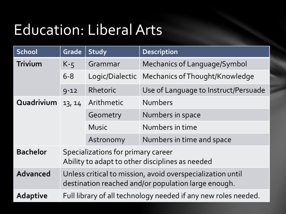#### Education: Liberal Arts

| <b>School</b>   | Grade                                                                                                             | Study           | <b>Description</b>                   |
|-----------------|-------------------------------------------------------------------------------------------------------------------|-----------------|--------------------------------------|
| <b>Trivium</b>  | $K-5$                                                                                                             | Grammar         | <b>Mechanics of Language/Symbol</b>  |
|                 | $6 - 8$                                                                                                           | Logic/Dialectic | Mechanics of Thought/Knowledge       |
|                 | $9 - 12$                                                                                                          | Rhetoric        | Use of Language to Instruct/Persuade |
| Quadrivium      | 13, 14                                                                                                            | Arithmetic      | <b>Numbers</b>                       |
|                 |                                                                                                                   | Geometry        | Numbers in space                     |
|                 |                                                                                                                   | <b>Music</b>    | Numbers in time                      |
|                 |                                                                                                                   | Astronomy       | Numbers in time and space            |
| <b>Bachelor</b> | Specializations for primary career<br>Ability to adapt to other disciplines as needed                             |                 |                                      |
| <b>Advanced</b> | Unless critical to mission, avoid overspecialization until<br>destination reached and/or population large enough. |                 |                                      |
| <b>Adaptive</b> | Full library of all technology needed if any new roles needed.                                                    |                 |                                      |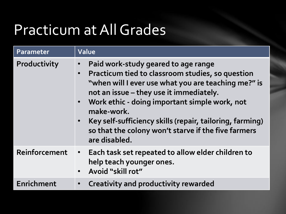## Practicum at All Grades

| Parameter     | Value                                                                                                                                                                                                                                                                                                                                                                                          |
|---------------|------------------------------------------------------------------------------------------------------------------------------------------------------------------------------------------------------------------------------------------------------------------------------------------------------------------------------------------------------------------------------------------------|
| Productivity  | Paid work-study geared to age range<br>Practicum tied to classroom studies, so question<br>"when will I ever use what you are teaching me?" is<br>not an issue - they use it immediately.<br>• Work ethic - doing important simple work, not<br>make-work.<br>Key self-sufficiency skills (repair, tailoring, farming)<br>so that the colony won't starve if the five farmers<br>are disabled. |
| Reinforcement | • Each task set repeated to allow elder children to<br>help teach younger ones.<br>• Avoid "skill rot"                                                                                                                                                                                                                                                                                         |
| Enrichment    | <b>Creativity and productivity rewarded</b>                                                                                                                                                                                                                                                                                                                                                    |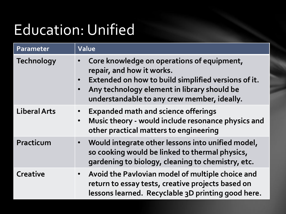#### Education: Unified

| Parameter           | Value                                                                                                                                                                                                                        |
|---------------------|------------------------------------------------------------------------------------------------------------------------------------------------------------------------------------------------------------------------------|
| <b>Technology</b>   | Core knowledge on operations of equipment,<br>repair, and how it works.<br>Extended on how to build simplified versions of it.<br>Any technology element in library should be<br>understandable to any crew member, ideally. |
| <b>Liberal Arts</b> | <b>Expanded math and science offerings</b><br>Music theory - would include resonance physics and<br>$\bullet$<br>other practical matters to engineering                                                                      |
| Practicum           | • Would integrate other lessons into unified model,<br>so cooking would be linked to thermal physics,<br>gardening to biology, cleaning to chemistry, etc.                                                                   |
| <b>Creative</b>     | • Avoid the Pavlovian model of multiple choice and<br>return to essay tests, creative projects based on<br>lessons learned. Recyclable 3D printing good here.                                                                |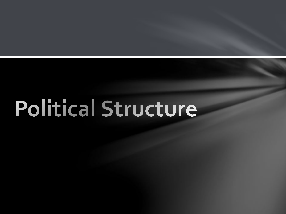## **Political Structure**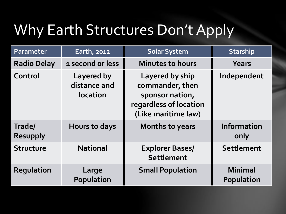#### Why Earth Structures Don't Apply

| Parameter                 | Earth, 2012                                   | <b>Solar System</b>                                                                                    | <b>Starship</b>                     |
|---------------------------|-----------------------------------------------|--------------------------------------------------------------------------------------------------------|-------------------------------------|
| <b>Radio Delay</b>        | 1 second or less                              | <b>Minutes to hours</b>                                                                                | Years                               |
| Control                   | Layered by<br>distance and<br><b>location</b> | Layered by ship<br>commander, then<br>sponsor nation,<br>regardless of location<br>(Like maritime law) | Independent                         |
| Trade/<br><b>Resupply</b> | Hours to days                                 | <b>Months to years</b>                                                                                 | <b>Information</b><br>only          |
| <b>Structure</b>          | <b>National</b>                               | <b>Explorer Bases/</b><br>Settlement                                                                   | <b>Settlement</b>                   |
| <b>Regulation</b>         | Large<br>Population                           | <b>Small Population</b>                                                                                | <b>Minimal</b><br><b>Population</b> |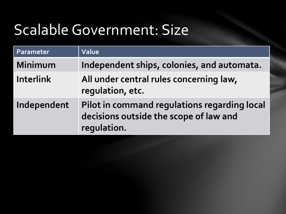#### Scalable Government: Size

| Parameter        | Value                                                                                                 |
|------------------|-------------------------------------------------------------------------------------------------------|
| Minimum          | Independent ships, colonies, and automata.                                                            |
| <b>Interlink</b> | All under central rules concerning law,<br>regulation, etc.                                           |
| Independent      | Pilot in command regulations regarding local<br>decisions outside the scope of law and<br>regulation. |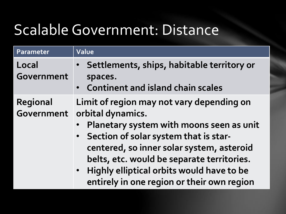#### Scalable Government: Distance

| Parameter              | <b>Value</b>                                                                                                                                                                                                                                                                                                                                             |
|------------------------|----------------------------------------------------------------------------------------------------------------------------------------------------------------------------------------------------------------------------------------------------------------------------------------------------------------------------------------------------------|
| Local<br>Government    | Settlements, ships, habitable territory or<br>spaces.<br>• Continent and island chain scales                                                                                                                                                                                                                                                             |
| Regional<br>Government | Limit of region may not vary depending on<br>orbital dynamics.<br>Planetary system with moons seen as unit<br>• Section of solar system that is star-<br>centered, so inner solar system, asteroid<br>belts, etc. would be separate territories.<br>Highly elliptical orbits would have to be<br>$\bullet$<br>entirely in one region or their own region |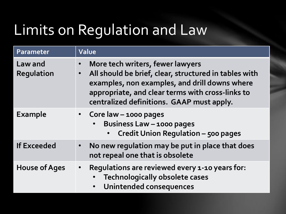#### Limits on Regulation and Law

| Parameter                           | Value                                                                                                                                                                                                                                                                 |
|-------------------------------------|-----------------------------------------------------------------------------------------------------------------------------------------------------------------------------------------------------------------------------------------------------------------------|
| <b>Law and</b><br><b>Regulation</b> | More tech writers, fewer lawyers<br>$\bullet$<br>All should be brief, clear, structured in tables with<br>$\bullet$<br>examples, non examples, and drill downs where<br>appropriate, and clear terms with cross-links to<br>centralized definitions. GAAP must apply. |
| <b>Example</b>                      | • Core law $-$ 1000 pages<br><b>Business Law - 1000 pages</b><br><b>Credit Union Regulation - 500 pages</b>                                                                                                                                                           |
| <b>If Exceeded</b>                  | No new regulation may be put in place that does<br>$\bullet$<br>not repeal one that is obsolete                                                                                                                                                                       |
| <b>House of Ages</b>                | Regulations are reviewed every 1-10 years for:<br>$\bullet$<br><b>Technologically obsolete cases</b><br><b>Unintended consequences</b>                                                                                                                                |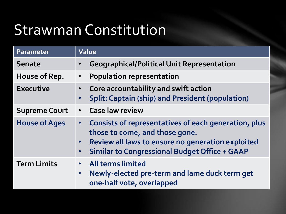#### Strawman Constitution

| Parameter            | Value                                                                                                                                                                                                   |  |
|----------------------|---------------------------------------------------------------------------------------------------------------------------------------------------------------------------------------------------------|--|
| <b>Senate</b>        | <b>Geographical/Political Unit Representation</b>                                                                                                                                                       |  |
| House of Rep.        | <b>Population representation</b><br>$\bullet$                                                                                                                                                           |  |
| <b>Executive</b>     | Core accountability and swift action<br><b>Split: Captain (ship) and President (population)</b>                                                                                                         |  |
| <b>Supreme Court</b> | • Case law review                                                                                                                                                                                       |  |
| <b>House of Ages</b> | • Consists of representatives of each generation, plus<br>those to come, and those gone.<br>• Review all laws to ensure no generation exploited<br><b>Similar to Congressional Budget Office + GAAP</b> |  |
| <b>Term Limits</b>   | <b>All terms limited</b><br>Newly-elected pre-term and lame duck term get<br>$\bullet$<br>one-half vote, overlapped                                                                                     |  |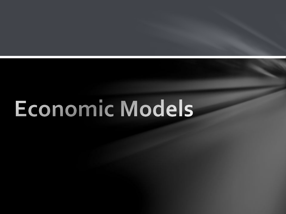# Economic Models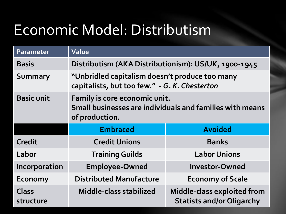#### Economic Model: Distributism

| Parameter          | Value                                                                                                       |                                                                 |  |
|--------------------|-------------------------------------------------------------------------------------------------------------|-----------------------------------------------------------------|--|
| <b>Basis</b>       | Distributism (AKA Distributionism): US/UK, 1900-1945                                                        |                                                                 |  |
| <b>Summary</b>     | "Unbridled capitalism doesn't produce too many<br>capitalists, but too few." - G. K. Chesterton             |                                                                 |  |
| <b>Basic unit</b>  | Family is core economic unit.<br>Small businesses are individuals and families with means<br>of production. |                                                                 |  |
|                    | <b>Embraced</b>                                                                                             | <b>Avoided</b>                                                  |  |
| Credit             | <b>Credit Unions</b>                                                                                        | <b>Banks</b>                                                    |  |
| Labor              | <b>Training Guilds</b>                                                                                      | <b>Labor Unions</b>                                             |  |
| Incorporation      | <b>Employee-Owned</b>                                                                                       | <b>Investor-Owned</b>                                           |  |
| <b>Economy</b>     | <b>Distributed Manufacture</b>                                                                              | <b>Economy of Scale</b>                                         |  |
| Class<br>structure | Middle-class stabilized                                                                                     | Middle-class exploited from<br><b>Statists and/or Oligarchy</b> |  |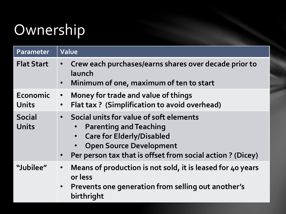## Ownership

| Parameter                     | Value                                                                                                                                                                                                                                               |
|-------------------------------|-----------------------------------------------------------------------------------------------------------------------------------------------------------------------------------------------------------------------------------------------------|
| <b>Flat Start</b>             | Crew each purchases/earns shares over decade prior to<br>$\bullet$<br>launch<br>Minimum of one, maximum of ten to start<br>$\bullet$                                                                                                                |
| Economic<br>Units             | Money for trade and value of things<br>$\bullet$<br>Flat tax? (Simplification to avoid overhead)<br>$\bullet$                                                                                                                                       |
| <b>Social</b><br><b>Units</b> | Social units for value of soft elements<br>$\bullet$<br><b>Parenting and Teaching</b><br>$\bullet$<br><b>Care for Elderly/Disabled</b><br><b>Open Source Development</b><br>Per person tax that is offset from social action ? (Dicey)<br>$\bullet$ |
| "Jubilee"                     | Means of production is not sold, it is leased for 40 years<br>$\bullet$<br>or less<br>Prevents one generation from selling out another's<br>birthright                                                                                              |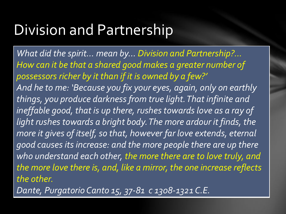#### Division and Partnership

*What did the spirit… mean by… Division and Partnership?... How can it be that a shared good makes a greater number of possessors richer by it than if it is owned by a few?' And he to me: 'Because you fix your eyes, again, only on earthly things, you produce darkness from true light. That infinite and ineffable good, that is up there, rushes towards love as a ray of light rushes towards a bright body. The more ardour it finds, the more it gives of itself, so that, however far love extends, eternal good causes its increase: and the more people there are up there who understand each other, the more there are to love truly, and the more love there is, and, like a mirror, the one increase reflects the other.* 

*Dante, Purgatorio Canto 15, 37-81 c 1308-1321 C.E.*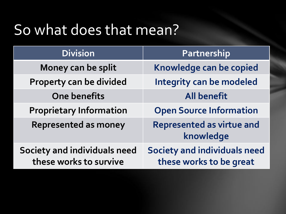#### So what does that mean?

| <b>Division</b>                                               | Partnership                                                    |  |
|---------------------------------------------------------------|----------------------------------------------------------------|--|
| Money can be split                                            | Knowledge can be copied                                        |  |
| Property can be divided                                       | Integrity can be modeled                                       |  |
| <b>One benefits</b>                                           | <b>All benefit</b>                                             |  |
| <b>Proprietary Information</b>                                | <b>Open Source Information</b>                                 |  |
| <b>Represented as money</b>                                   | <b>Represented as virtue and</b><br>knowledge                  |  |
| <b>Society and individuals need</b><br>these works to survive | <b>Society and individuals need</b><br>these works to be great |  |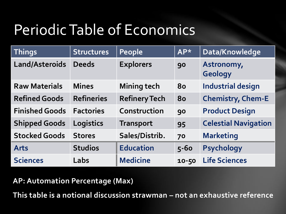## Periodic Table of Economics

| <b>Things</b>         | <b>Structures</b> | People               | $AP*$    | Data/Knowledge               |
|-----------------------|-------------------|----------------------|----------|------------------------------|
| Land/Asteroids        | <b>Deeds</b>      | <b>Explorers</b>     | 90       | Astronomy,<br><b>Geology</b> |
| <b>Raw Materials</b>  | <b>Mines</b>      | <b>Mining tech</b>   | 80       | <b>Industrial design</b>     |
| <b>Refined Goods</b>  | <b>Refineries</b> | <b>Refinery Tech</b> | 80       | <b>Chemistry, Chem-E</b>     |
| <b>Finished Goods</b> | <b>Factories</b>  | Construction         | 90       | <b>Product Design</b>        |
| <b>Shipped Goods</b>  | Logistics         | <b>Transport</b>     | 95       | <b>Celestial Navigation</b>  |
| <b>Stocked Goods</b>  | <b>Stores</b>     | Sales/Distrib.       | 70       | <b>Marketing</b>             |
| <b>Arts</b>           | <b>Studios</b>    | <b>Education</b>     | $5 - 60$ | <b>Psychology</b>            |
| <b>Sciences</b>       | Labs              | <b>Medicine</b>      | 10-50    | <b>Life Sciences</b>         |

**AP: Automation Percentage (Max)**

**This table is a notional discussion strawman – not an exhaustive reference**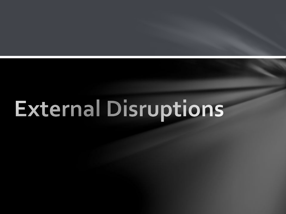# **External Disruptions**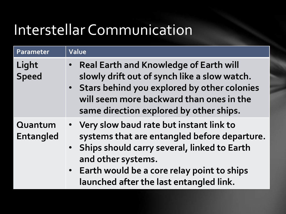## Interstellar Communication

| Parameter                   | Value                                                                                                                                                                                                                                                       |
|-----------------------------|-------------------------------------------------------------------------------------------------------------------------------------------------------------------------------------------------------------------------------------------------------------|
| Light<br><b>Speed</b>       | • Real Earth and Knowledge of Earth will<br>slowly drift out of synch like a slow watch.<br>• Stars behind you explored by other colonies<br>will seem more backward than ones in the<br>same direction explored by other ships.                            |
| Quantum<br><b>Entangled</b> | • Very slow baud rate but instant link to<br>systems that are entangled before departure.<br>• Ships should carry several, linked to Earth<br>and other systems.<br>• Earth would be a core relay point to ships<br>launched after the last entangled link. |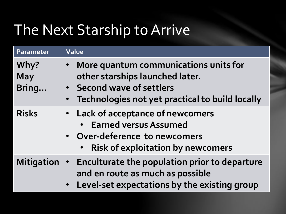#### The Next Starship to Arrive

| Parameter                   | Value                                                                                                                                                                   |
|-----------------------------|-------------------------------------------------------------------------------------------------------------------------------------------------------------------------|
| Why?<br><b>May</b><br>Bring | More quantum communications units for<br>$\bullet$<br>other starships launched later.<br>• Second wave of settlers<br>• Technologies not yet practical to build locally |
| <b>Risks</b>                | • Lack of acceptance of newcomers<br>• Earned versus Assumed<br>• Over-deference to newcomers<br><b>Risk of exploitation by new comers</b><br>$\bullet$                 |
| <b>Mitigation</b>           | • Enculturate the population prior to departure<br>and en route as much as possible<br>• Level-set expectations by the existing group                                   |